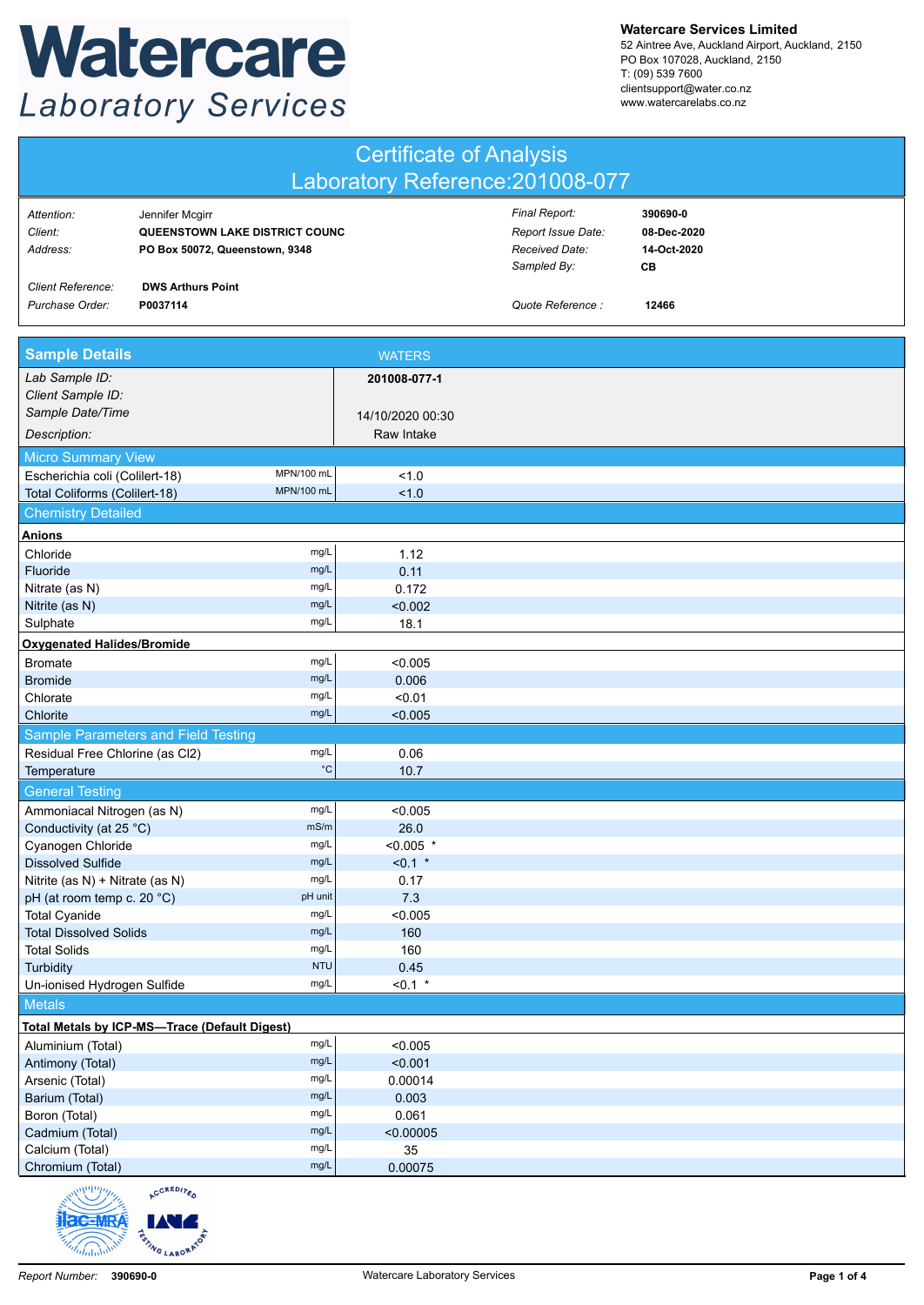## Watercare **Laboratory Services**

**Watercare Services Limited**

52 Aintree Ave, Auckland Airport, Auckland, 2150 PO Box 107028, Auckland, 2150 T: (09) 539 7600 clientsupport@water.co.nz www.watercarelabs.co.nz

| <b>Certificate of Analysis</b><br>Laboratory Reference: 201008-077 |                                                                                     |                   |                                                                      |                                              |  |
|--------------------------------------------------------------------|-------------------------------------------------------------------------------------|-------------------|----------------------------------------------------------------------|----------------------------------------------|--|
| Attention:<br>Client:<br>Address:                                  | Jennifer Mcgirr<br>QUEENSTOWN LAKE DISTRICT COUNC<br>PO Box 50072, Queenstown, 9348 |                   | Final Report:<br>Report Issue Date:<br>Received Date:<br>Sampled By: | 390690-0<br>08-Dec-2020<br>14-Oct-2020<br>CВ |  |
| Client Reference:<br>Purchase Order:                               | <b>DWS Arthurs Point</b><br>P0037114                                                |                   | Quote Reference :                                                    | 12466                                        |  |
| <b>Sample Details</b>                                              |                                                                                     | <b>WATERS</b>     |                                                                      |                                              |  |
| Lab Sample ID:                                                     |                                                                                     | 201008-077-1      |                                                                      |                                              |  |
| Client Sample ID:                                                  |                                                                                     |                   |                                                                      |                                              |  |
| Sample Date/Time                                                   |                                                                                     | 14/10/2020 00:30  |                                                                      |                                              |  |
| Description:                                                       |                                                                                     | Raw Intake        |                                                                      |                                              |  |
| <b>Micro Summary View</b>                                          |                                                                                     |                   |                                                                      |                                              |  |
| Escherichia coli (Colilert-18)                                     | MPN/100 mL<br>MPN/100 mL                                                            | 1.0               |                                                                      |                                              |  |
| Total Coliforms (Colilert-18)                                      |                                                                                     | 1.0               |                                                                      |                                              |  |
| <b>Chemistry Detailed</b>                                          |                                                                                     |                   |                                                                      |                                              |  |
| Anions                                                             | mg/L                                                                                |                   |                                                                      |                                              |  |
| Chloride<br>Fluoride                                               | mg/L                                                                                | 1.12<br>0.11      |                                                                      |                                              |  |
| Nitrate (as N)                                                     | mg/L                                                                                | 0.172             |                                                                      |                                              |  |
| Nitrite (as N)                                                     | mg/L                                                                                | < 0.002           |                                                                      |                                              |  |
| Sulphate                                                           | mg/L                                                                                | 18.1              |                                                                      |                                              |  |
| <b>Oxygenated Halides/Bromide</b>                                  |                                                                                     |                   |                                                                      |                                              |  |
| <b>Bromate</b>                                                     | mg/L                                                                                | < 0.005           |                                                                      |                                              |  |
| <b>Bromide</b>                                                     | mg/L                                                                                | 0.006             |                                                                      |                                              |  |
| Chlorate                                                           | mg/L                                                                                | < 0.01            |                                                                      |                                              |  |
| Chlorite                                                           | mg/L                                                                                | < 0.005           |                                                                      |                                              |  |
|                                                                    | Sample Parameters and Field Testing                                                 |                   |                                                                      |                                              |  |
| Residual Free Chlorine (as Cl2)                                    | mg/L                                                                                | 0.06              |                                                                      |                                              |  |
| Temperature                                                        | $^{\circ}{\rm C}$                                                                   | 10.7              |                                                                      |                                              |  |
| <b>General Testing</b>                                             |                                                                                     |                   |                                                                      |                                              |  |
| Ammoniacal Nitrogen (as N)                                         | mg/L                                                                                | < 0.005           |                                                                      |                                              |  |
| Conductivity (at 25 °C)                                            | mS/m                                                                                | 26.0              |                                                                      |                                              |  |
| Cyanogen Chloride                                                  | mg/L                                                                                | $< 0.005$ *       |                                                                      |                                              |  |
| <b>Dissolved Sulfide</b><br>Nitrite (as N) + Nitrate (as N)        | mg/L<br>mg/L                                                                        | $< 0.1$ *<br>0.17 |                                                                      |                                              |  |
| pH (at room temp c. 20 °C)                                         | pH unit                                                                             | 7.3               |                                                                      |                                              |  |
| <b>Total Cyanide</b>                                               | mg/L                                                                                | < 0.005           |                                                                      |                                              |  |
| <b>Total Dissolved Solids</b>                                      | mg/L                                                                                | 160               |                                                                      |                                              |  |
| <b>Total Solids</b>                                                | mg/L                                                                                | 160               |                                                                      |                                              |  |
| Turbidity                                                          | <b>NTU</b>                                                                          | 0.45              |                                                                      |                                              |  |
| Un-ionised Hydrogen Sulfide                                        | mg/L                                                                                | $< 0.1$ *         |                                                                      |                                              |  |
| <b>Metals</b>                                                      |                                                                                     |                   |                                                                      |                                              |  |
|                                                                    | Total Metals by ICP-MS-Trace (Default Digest)                                       |                   |                                                                      |                                              |  |
| Aluminium (Total)                                                  | mg/L                                                                                | < 0.005           |                                                                      |                                              |  |
| Antimony (Total)                                                   | mg/L                                                                                | < 0.001           |                                                                      |                                              |  |
| Arsenic (Total)                                                    | mg/L                                                                                | 0.00014           |                                                                      |                                              |  |
| Barium (Total)                                                     | mg/L<br>mg/L                                                                        | 0.003<br>0.061    |                                                                      |                                              |  |
| Boron (Total)<br>Cadmium (Total)                                   | mg/L                                                                                | < 0.00005         |                                                                      |                                              |  |
| Calcium (Total)                                                    | mg/L                                                                                | 35                |                                                                      |                                              |  |
| Chromium (Total)                                                   | mg/L                                                                                | 0.00075           |                                                                      |                                              |  |
| www.wa                                                             | CREDITA                                                                             |                   |                                                                      |                                              |  |

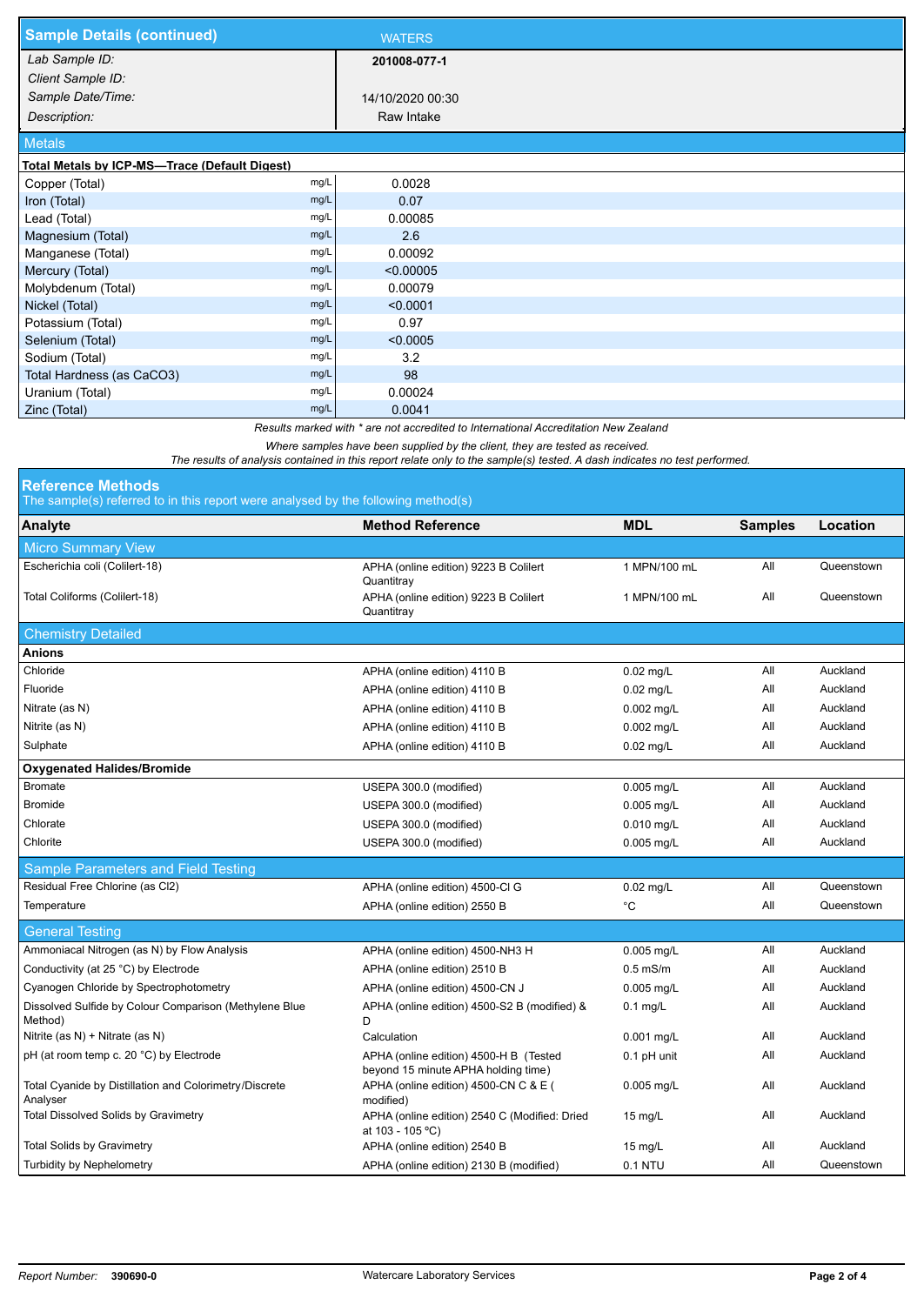| <b>Sample Details (continued)</b>                                                   |      | <b>WATERS</b>    |  |  |  |
|-------------------------------------------------------------------------------------|------|------------------|--|--|--|
| Lab Sample ID:                                                                      |      | 201008-077-1     |  |  |  |
| Client Sample ID:                                                                   |      |                  |  |  |  |
| Sample Date/Time:                                                                   |      | 14/10/2020 00:30 |  |  |  |
| Description:                                                                        |      | Raw Intake       |  |  |  |
| <b>Metals</b>                                                                       |      |                  |  |  |  |
| Total Metals by ICP-MS-Trace (Default Digest)                                       |      |                  |  |  |  |
| Copper (Total)                                                                      | mg/L | 0.0028           |  |  |  |
| Iron (Total)                                                                        | mg/L | 0.07             |  |  |  |
| Lead (Total)                                                                        | mg/L | 0.00085          |  |  |  |
| Magnesium (Total)                                                                   | mg/L | 2.6              |  |  |  |
| Manganese (Total)                                                                   | mg/L | 0.00092          |  |  |  |
| Mercury (Total)                                                                     | mg/L | < 0.00005        |  |  |  |
| Molybdenum (Total)                                                                  | mg/L | 0.00079          |  |  |  |
| Nickel (Total)                                                                      | mg/L | < 0.0001         |  |  |  |
| Potassium (Total)                                                                   | mg/L | 0.97             |  |  |  |
| Selenium (Total)                                                                    | mg/L | < 0.0005         |  |  |  |
| Sodium (Total)                                                                      | mg/L | 3.2              |  |  |  |
| Total Hardness (as CaCO3)                                                           | mg/L | 98               |  |  |  |
| Uranium (Total)                                                                     | mg/L | 0.00024          |  |  |  |
| Zinc (Total)                                                                        | mg/L | 0.0041           |  |  |  |
| Results marked with * are not accredited to International Accreditation New Zealand |      |                  |  |  |  |

*Where samples have been supplied by the client, they are tested as received.* 

*The results of analysis contained in this report relate only to the sample(s) tested. A dash indicates no test performed.*

|  |  | <b>Reference Methods</b> |  |
|--|--|--------------------------|--|
|  |  |                          |  |

The sample(s) referred to in this report were analysed by the following method(s)

| The adminition referred to in this report were dilaryacd by the following method(s) |                                                                               |              |                |            |  |  |
|-------------------------------------------------------------------------------------|-------------------------------------------------------------------------------|--------------|----------------|------------|--|--|
| Analyte                                                                             | <b>Method Reference</b>                                                       | <b>MDL</b>   | <b>Samples</b> | Location   |  |  |
| <b>Micro Summary View</b>                                                           |                                                                               |              |                |            |  |  |
| Escherichia coli (Colilert-18)                                                      | APHA (online edition) 9223 B Colilert<br>Quantitray                           | 1 MPN/100 mL | All            | Queenstown |  |  |
| Total Coliforms (Colilert-18)                                                       | APHA (online edition) 9223 B Colilert<br>Quantitray                           | 1 MPN/100 mL | All            | Queenstown |  |  |
| <b>Chemistry Detailed</b>                                                           |                                                                               |              |                |            |  |  |
| <b>Anions</b>                                                                       |                                                                               |              |                |            |  |  |
| Chloride                                                                            | APHA (online edition) 4110 B                                                  | $0.02$ mg/L  | All            | Auckland   |  |  |
| Fluoride                                                                            | APHA (online edition) 4110 B                                                  | $0.02$ mg/L  | All            | Auckland   |  |  |
| Nitrate (as N)                                                                      | APHA (online edition) 4110 B                                                  | 0.002 mg/L   | All            | Auckland   |  |  |
| Nitrite (as N)                                                                      | APHA (online edition) 4110 B                                                  | $0.002$ mg/L | All            | Auckland   |  |  |
| Sulphate                                                                            | APHA (online edition) 4110 B                                                  | $0.02$ mg/L  | All            | Auckland   |  |  |
| <b>Oxygenated Halides/Bromide</b>                                                   |                                                                               |              |                |            |  |  |
| <b>Bromate</b>                                                                      | USEPA 300.0 (modified)                                                        | $0.005$ mg/L | All            | Auckland   |  |  |
| <b>Bromide</b>                                                                      | USEPA 300.0 (modified)                                                        | 0.005 mg/L   | All            | Auckland   |  |  |
| Chlorate                                                                            | USEPA 300.0 (modified)                                                        | 0.010 mg/L   | All            | Auckland   |  |  |
| Chlorite                                                                            | USEPA 300.0 (modified)                                                        | 0.005 mg/L   | All            | Auckland   |  |  |
| Sample Parameters and Field Testing                                                 |                                                                               |              |                |            |  |  |
| Residual Free Chlorine (as Cl2)                                                     | APHA (online edition) 4500-Cl G                                               | $0.02$ mg/L  | All            | Queenstown |  |  |
| Temperature                                                                         | APHA (online edition) 2550 B                                                  | °C           | All            | Queenstown |  |  |
| <b>General Testing</b>                                                              |                                                                               |              |                |            |  |  |
| Ammoniacal Nitrogen (as N) by Flow Analysis                                         | APHA (online edition) 4500-NH3 H                                              | $0.005$ mg/L | All            | Auckland   |  |  |
| Conductivity (at 25 °C) by Electrode                                                | APHA (online edition) 2510 B                                                  | $0.5$ mS/m   | All            | Auckland   |  |  |
| Cyanogen Chloride by Spectrophotometry                                              | APHA (online edition) 4500-CN J                                               | 0.005 mg/L   | All            | Auckland   |  |  |
| Dissolved Sulfide by Colour Comparison (Methylene Blue<br>Method)                   | APHA (online edition) 4500-S2 B (modified) &<br>D                             | $0.1$ mg/L   | All            | Auckland   |  |  |
| Nitrite (as N) + Nitrate (as N)                                                     | Calculation                                                                   | 0.001 mg/L   | All            | Auckland   |  |  |
| pH (at room temp c. 20 °C) by Electrode                                             | APHA (online edition) 4500-H B (Tested<br>beyond 15 minute APHA holding time) | 0.1 pH unit  | All            | Auckland   |  |  |
| Total Cyanide by Distillation and Colorimetry/Discrete<br>Analyser                  | APHA (online edition) 4500-CN C & E (<br>modified)                            | $0.005$ mg/L | All            | Auckland   |  |  |
| <b>Total Dissolved Solids by Gravimetry</b>                                         | APHA (online edition) 2540 C (Modified: Dried<br>at 103 - 105 °C)             | 15 $mg/L$    | All            | Auckland   |  |  |
| <b>Total Solids by Gravimetry</b>                                                   | APHA (online edition) 2540 B                                                  | 15 $mg/L$    | All            | Auckland   |  |  |
| <b>Turbidity by Nephelometry</b>                                                    | APHA (online edition) 2130 B (modified)                                       | 0.1 NTU      | All            | Queenstown |  |  |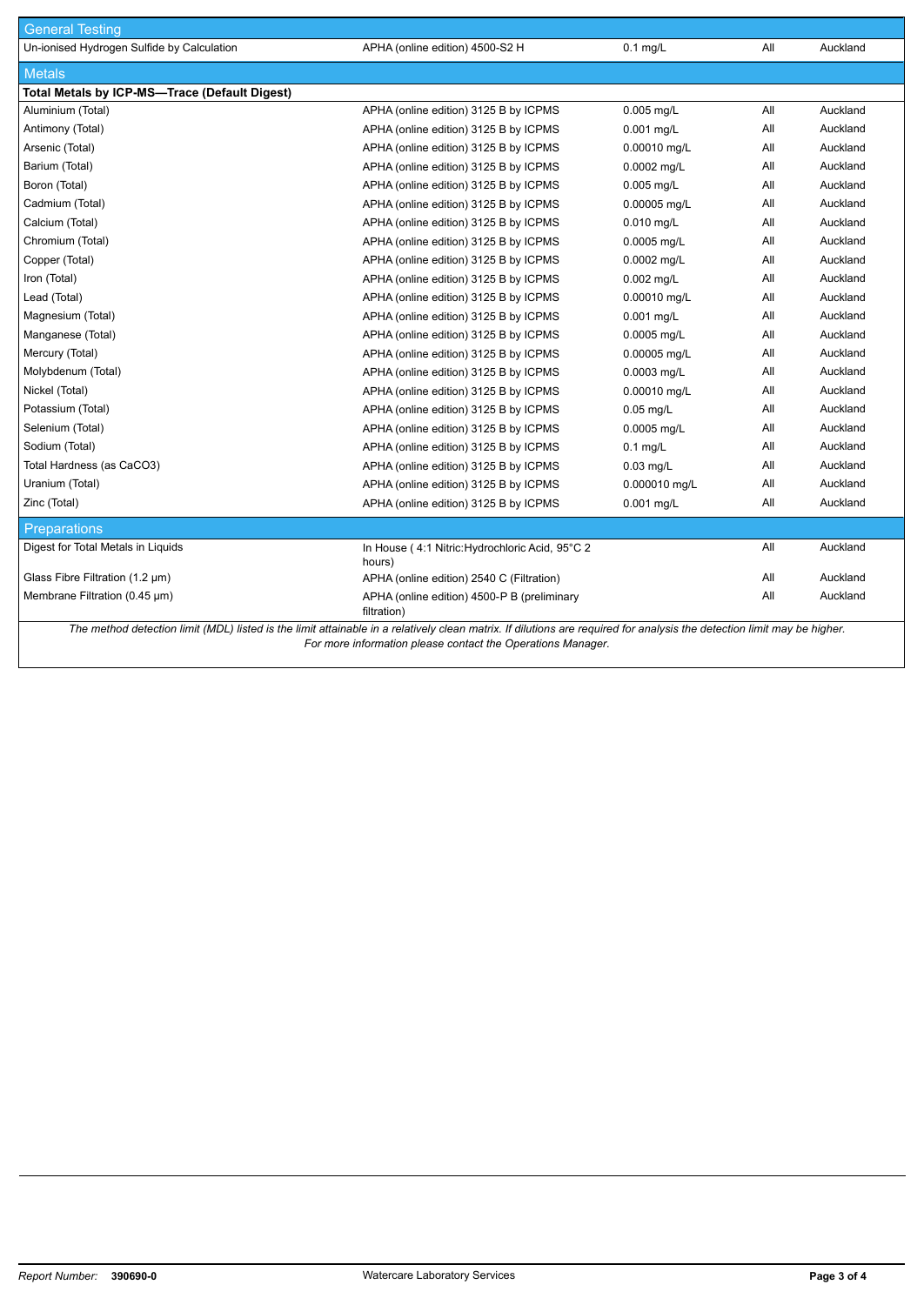| <b>General Testing</b>                                                                                                                                                  |                                                            |               |     |          |  |
|-------------------------------------------------------------------------------------------------------------------------------------------------------------------------|------------------------------------------------------------|---------------|-----|----------|--|
| Un-ionised Hydrogen Sulfide by Calculation                                                                                                                              | APHA (online edition) 4500-S2 H                            | $0.1$ mg/L    | All | Auckland |  |
| <b>Metals</b>                                                                                                                                                           |                                                            |               |     |          |  |
| Total Metals by ICP-MS-Trace (Default Digest)                                                                                                                           |                                                            |               |     |          |  |
| Aluminium (Total)                                                                                                                                                       | APHA (online edition) 3125 B by ICPMS                      | 0.005 mg/L    | All | Auckland |  |
| Antimony (Total)                                                                                                                                                        | APHA (online edition) 3125 B by ICPMS                      | 0.001 mg/L    | aii | Auckland |  |
| Arsenic (Total)                                                                                                                                                         | APHA (online edition) 3125 B by ICPMS                      | 0.00010 mg/L  | All | Auckland |  |
| Barium (Total)                                                                                                                                                          | APHA (online edition) 3125 B by ICPMS                      | 0.0002 mg/L   | All | Auckland |  |
| Boron (Total)                                                                                                                                                           | APHA (online edition) 3125 B by ICPMS                      | $0.005$ mg/L  | All | Auckland |  |
| Cadmium (Total)                                                                                                                                                         | APHA (online edition) 3125 B by ICPMS                      | 0.00005 mg/L  | All | Auckland |  |
| Calcium (Total)                                                                                                                                                         | APHA (online edition) 3125 B by ICPMS                      | 0.010 mg/L    | All | Auckland |  |
| Chromium (Total)                                                                                                                                                        | APHA (online edition) 3125 B by ICPMS                      | 0.0005 mg/L   | All | Auckland |  |
| Copper (Total)                                                                                                                                                          | APHA (online edition) 3125 B by ICPMS                      | 0.0002 mg/L   | aii | Auckland |  |
| Iron (Total)                                                                                                                                                            | APHA (online edition) 3125 B by ICPMS                      | $0.002$ mg/L  | aii | Auckland |  |
| Lead (Total)                                                                                                                                                            | APHA (online edition) 3125 B by ICPMS                      | 0.00010 mg/L  | All | Auckland |  |
| Magnesium (Total)                                                                                                                                                       | APHA (online edition) 3125 B by ICPMS                      | 0.001 mg/L    | All | Auckland |  |
| Manganese (Total)                                                                                                                                                       | APHA (online edition) 3125 B by ICPMS                      | 0.0005 mg/L   | All | Auckland |  |
| Mercury (Total)                                                                                                                                                         | APHA (online edition) 3125 B by ICPMS                      | 0.00005 mg/L  | aii | Auckland |  |
| Molybdenum (Total)                                                                                                                                                      | APHA (online edition) 3125 B by ICPMS                      | 0.0003 mg/L   | All | Auckland |  |
| Nickel (Total)                                                                                                                                                          | APHA (online edition) 3125 B by ICPMS                      | 0.00010 mg/L  | All | Auckland |  |
| Potassium (Total)                                                                                                                                                       | APHA (online edition) 3125 B by ICPMS                      | $0.05$ mg/L   | All | Auckland |  |
| Selenium (Total)                                                                                                                                                        | APHA (online edition) 3125 B by ICPMS                      | 0.0005 mg/L   | aii | Auckland |  |
| Sodium (Total)                                                                                                                                                          | APHA (online edition) 3125 B by ICPMS                      | $0.1$ mg/L    | All | Auckland |  |
| Total Hardness (as CaCO3)                                                                                                                                               | APHA (online edition) 3125 B by ICPMS                      | $0.03$ mg/L   | All | Auckland |  |
| Uranium (Total)                                                                                                                                                         | APHA (online edition) 3125 B by ICPMS                      | 0.000010 mg/L | All | Auckland |  |
| Zinc (Total)                                                                                                                                                            | APHA (online edition) 3125 B by ICPMS                      | 0.001 mg/L    | All | Auckland |  |
| <b>Preparations</b>                                                                                                                                                     |                                                            |               |     |          |  |
| Digest for Total Metals in Liquids                                                                                                                                      | In House (4:1 Nitric: Hydrochloric Acid, 95°C 2<br>hours)  |               | All | Auckland |  |
| Glass Fibre Filtration (1.2 µm)                                                                                                                                         | APHA (online edition) 2540 C (Filtration)                  |               | aii | Auckland |  |
| Membrane Filtration (0.45 µm)                                                                                                                                           | APHA (online edition) 4500-P B (preliminary<br>filtration) |               | All | Auckland |  |
| The method detection limit (MDL) listed is the limit attainable in a relatively clean matrix. If dilutions are required for analysis the detection limit may be higher. |                                                            |               |     |          |  |

*For more information please contact the Operations Manager.*